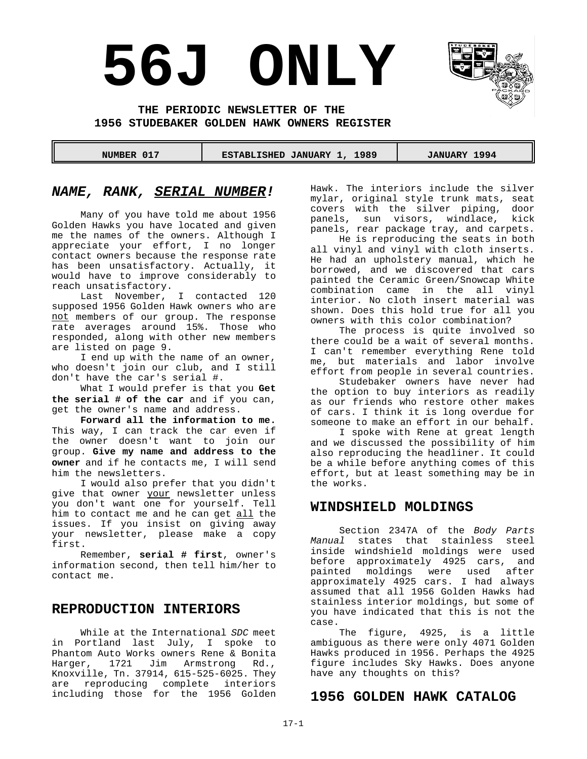# **56J ONLY**



**THE PERIODIC NEWSLETTER OF THE 1956 STUDEBAKER GOLDEN HAWK OWNERS REGISTER** 

 **NUMBER 017 ESTABLISHED JANUARY 1, 1989 JANUARY 1994** 

#### *NAME, RANK, SERIAL NUMBER!*

Many of you have told me about 1956 Golden Hawks you have located and given me the names of the owners. Although I appreciate your effort, I no longer contact owners because the response rate has been unsatisfactory. Actually, it would have to improve considerably to reach unsatisfactory.

Last November, I contacted 120 supposed 1956 Golden Hawk owners who are not members of our group. The response rate averages around 15%. Those who responded, along with other new members are listed on page 9.

I end up with the name of an owner, who doesn't join our club, and I still don't have the car's serial #.

What I would prefer is that you **Get the serial # of the car** and if you can, get the owner's name and address.

**Forward all the information to me.** This way, I can track the car even if the owner doesn't want to join our group. **Give my name and address to the owner** and if he contacts me, I will send him the newsletters.

I would also prefer that you didn't give that owner your newsletter unless you don't want one for yourself. Tell him to contact me and he can get all the issues. If you insist on giving away your newsletter, please make a copy first.

Remember, **serial # first**, owner's information second, then tell him/her to contact me.

#### **REPRODUCTION INTERIORS**

While at the International *SDC* meet in Portland last July, I spoke to Phantom Auto Works owners Rene & Bonita<br>Harger. 1721 Jim Armstrong Rd., 1721 Jim Armstrong Knoxville, Tn. 37914, 615-525-6025. They are reproducing complete interiors including those for the 1956 Golden Hawk. The interiors include the silver mylar, original style trunk mats, seat covers with the silver piping, door panels, sun visors, windlace, kick panels, rear package tray, and carpets.

He is reproducing the seats in both all vinyl and vinyl with cloth inserts. He had an upholstery manual, which he borrowed, and we discovered that cars painted the Ceramic Green/Snowcap White combination came in the all vinyl interior. No cloth insert material was shown. Does this hold true for all you owners with this color combination?

The process is quite involved so there could be a wait of several months. I can't remember everything Rene told me, but materials and labor involve effort from people in several countries.

Studebaker owners have never had the option to buy interiors as readily as our friends who restore other makes of cars. I think it is long overdue for someone to make an effort in our behalf.

I spoke with Rene at great length and we discussed the possibility of him also reproducing the headliner. It could be a while before anything comes of this effort, but at least something may be in the works.

#### **WINDSHIELD MOLDINGS**

Section 2347A of the *Body Parts Manual* states that stainless steel inside windshield moldings were used before approximately 4925 cars, and painted moldings were used after approximately 4925 cars. I had always assumed that all 1956 Golden Hawks had stainless interior moldings, but some of you have indicated that this is not the case.

The figure, 4925, is a little ambiguous as there were only 4071 Golden Hawks produced in 1956. Perhaps the 4925 figure includes Sky Hawks. Does anyone have any thoughts on this?

#### **1956 GOLDEN HAWK CATALOG**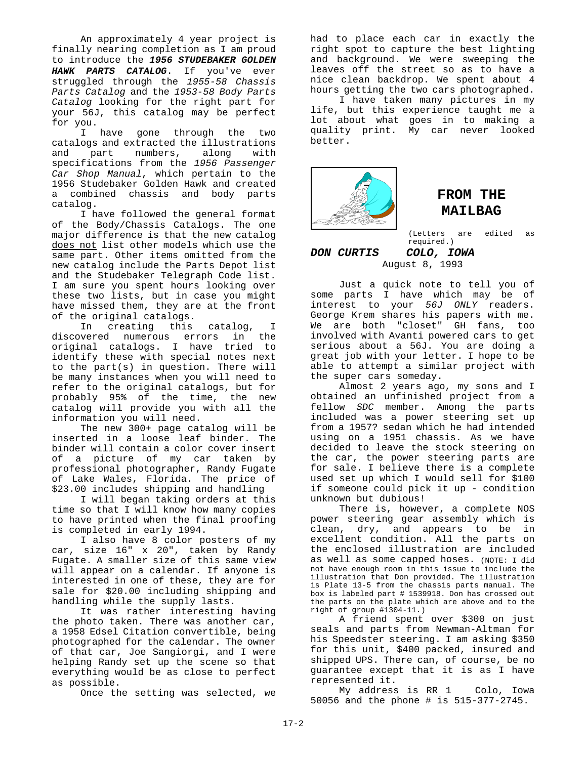An approximately 4 year project is finally nearing completion as I am proud to introduce the *1956 STUDEBAKER GOLDEN HAWK PARTS CATALOG*. If you've ever struggled through the *1955-58 Chassis Parts Catalog* and the *1953-58 Body Parts Catalog* looking for the right part for your 56J, this catalog may be perfect for you.

I have gone through the two catalogs and extracted the illustrations and part numbers, along with specifications from the *1956 Passenger Car Shop Manual*, which pertain to the 1956 Studebaker Golden Hawk and created a combined chassis and body parts catalog.

I have followed the general format of the Body/Chassis Catalogs. The one major difference is that the new catalog does not list other models which use the same part. Other items omitted from the new catalog include the Parts Depot list and the Studebaker Telegraph Code list. I am sure you spent hours looking over these two lists, but in case you might have missed them, they are at the front of the original catalogs.

In creating this catalog, I discovered numerous errors in the original catalogs. I have tried to identify these with special notes next to the part(s) in question. There will be many instances when you will need to refer to the original catalogs, but for probably 95% of the time, the new catalog will provide you with all the information you will need.

The new 300+ page catalog will be inserted in a loose leaf binder. The binder will contain a color cover insert of a picture of my car taken by professional photographer, Randy Fugate of Lake Wales, Florida. The price of \$23.00 includes shipping and handling

I will began taking orders at this time so that I will know how many copies to have printed when the final proofing is completed in early 1994.

I also have 8 color posters of my car, size 16" x 20", taken by Randy Fugate. A smaller size of this same view will appear on a calendar. If anyone is interested in one of these, they are for sale for \$20.00 including shipping and handling while the supply lasts.

It was rather interesting having the photo taken. There was another car, a 1958 Edsel Citation convertible, being photographed for the calendar. The owner of that car, Joe Sangiorgi, and I were helping Randy set up the scene so that everything would be as close to perfect as possible.

Once the setting was selected, we

had to place each car in exactly the right spot to capture the best lighting and background. We were sweeping the leaves off the street so as to have a nice clean backdrop. We spent about 4 hours getting the two cars photographed.

I have taken many pictures in my life, but this experience taught me a lot about what goes in to making a quality print. My car never looked better.



### **FROM THE MAILBAG**

(Letters are edited as required.)

#### *DON CURTIS COLO, IOWA* August 8, 1993

Just a quick note to tell you of some parts I have which may be of interest to your *56J ONLY* readers. George Krem shares his papers with me. We are both "closet" GH fans, too involved with Avanti powered cars to get serious about a 56J. You are doing a great job with your letter. I hope to be able to attempt a similar project with the super cars someday.

Almost 2 years ago, my sons and I obtained an unfinished project from a fellow *SDC* member. Among the parts included was a power steering set up from a 1957? sedan which he had intended using on a 1951 chassis. As we have decided to leave the stock steering on the car, the power steering parts are for sale. I believe there is a complete used set up which I would sell for \$100 if someone could pick it up - condition unknown but dubious!

There is, however, a complete NOS power steering gear assembly which is clean, dry, and appears to be in excellent condition. All the parts on the enclosed illustration are included as well as some capped hoses. (NOTE: I did not have enough room in this issue to include the illustration that Don provided. The illustration is Plate 13-5 from the chassis parts manual. The box is labeled part # 1539918. Don has crossed out the parts on the plate which are above and to the right of group #1304-11.)

A friend spent over \$300 on just seals and parts from Newman-Altman for his Speedster steering. I am asking \$350 for this unit, \$400 packed, insured and shipped UPS. There can, of course, be no guarantee except that it is as I have represented it.

My address is RR 1 Colo, Iowa 50056 and the phone # is 515-377-2745.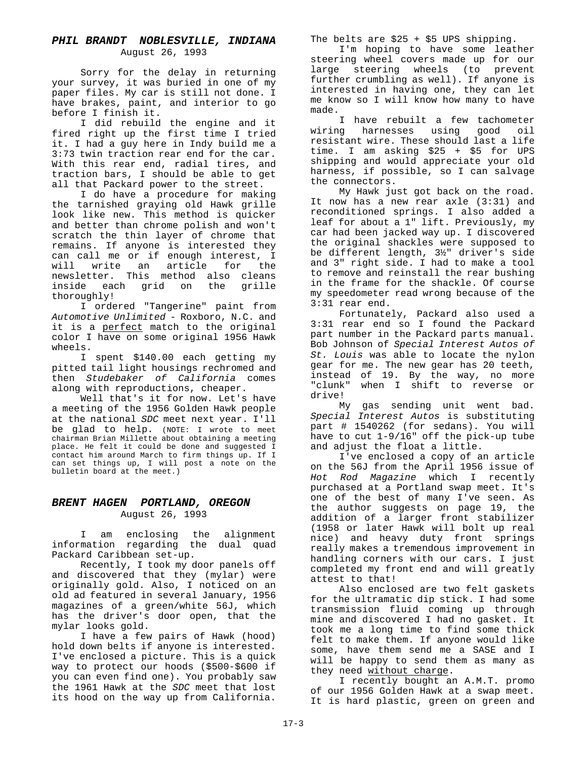#### *PHIL BRANDT NOBLESVILLE, INDIANA* August 26, 1993

Sorry for the delay in returning your survey, it was buried in one of my paper files. My car is still not done. I have brakes, paint, and interior to go before I finish it.

I did rebuild the engine and it fired right up the first time I tried it. I had a guy here in Indy build me a 3:73 twin traction rear end for the car. With this rear end, radial tires, and traction bars, I should be able to get all that Packard power to the street.

I do have a procedure for making the tarnished graying old Hawk grille look like new. This method is quicker and better than chrome polish and won't scratch the thin layer of chrome that remains. If anyone is interested they can call me or if enough interest, I will write an article for the newsletter. This method also cleans inside each grid on the grille thoroughly!

I ordered "Tangerine" paint from *Automotive Unlimited* - Roxboro, N.C. and it is a perfect match to the original color I have on some original 1956 Hawk wheels.

I spent \$140.00 each getting my pitted tail light housings rechromed and then *Studebaker of California* comes along with reproductions, cheaper.

Well that's it for now. Let's have a meeting of the 1956 Golden Hawk people at the national *SDC* meet next year. I'll be glad to help. (NOTE: I wrote to meet chairman Brian Millette about obtaining a meeting place. He felt it could be done and suggested I contact him around March to firm things up. If I can set things up, I will post a note on the bulletin board at the meet.)

#### *BRENT HAGEN PORTLAND, OREGON* August 26, 1993

I am enclosing the alignment information regarding the dual quad Packard Caribbean set-up.

Recently, I took my door panels off and discovered that they (mylar) were originally gold. Also, I noticed on an old ad featured in several January, 1956 magazines of a green/white 56J, which has the driver's door open, that the mylar looks gold.

I have a few pairs of Hawk (hood) hold down belts if anyone is interested. I've enclosed a picture. This is a quick way to protect our hoods (\$500-\$600 if you can even find one). You probably saw the 1961 Hawk at the *SDC* meet that lost its hood on the way up from California.

The belts are \$25 + \$5 UPS shipping.

I'm hoping to have some leather steering wheel covers made up for our large steering wheels (to prevent further crumbling as well). If anyone is interested in having one, they can let me know so I will know how many to have made.

I have rebuilt a few tachometer wiring harnesses using good oil resistant wire. These should last a life time. I am asking \$25 + \$5 for UPS shipping and would appreciate your old harness, if possible, so I can salvage the connectors.

My Hawk just got back on the road. It now has a new rear axle (3:31) and reconditioned springs. I also added a leaf for about a 1" lift. Previously, my car had been jacked way up. I discovered the original shackles were supposed to be different length, 3½" driver's side and 3" right side. I had to make a tool to remove and reinstall the rear bushing in the frame for the shackle. Of course my speedometer read wrong because of the 3:31 rear end.

Fortunately, Packard also used a 3:31 rear end so I found the Packard part number in the Packard parts manual. Bob Johnson of *Special Interest Autos of St. Louis* was able to locate the nylon gear for me. The new gear has 20 teeth, instead of 19. By the way, no more "clunk" when I shift to reverse or drive!

My gas sending unit went bad. *Special Interest Autos* is substituting part # 1540262 (for sedans). You will have to cut 1-9/16" off the pick-up tube and adjust the float a little.

I've enclosed a copy of an article on the 56J from the April 1956 issue of *Hot Rod Magazine* which I recently purchased at a Portland swap meet. It's one of the best of many I've seen. As the author suggests on page 19, the addition of a larger front stabilizer (1958 or later Hawk will bolt up real nice) and heavy duty front springs really makes a tremendous improvement in handling corners with our cars. I just completed my front end and will greatly attest to that!

Also enclosed are two felt gaskets for the ultramatic dip stick. I had some transmission fluid coming up through mine and discovered I had no gasket. It took me a long time to find some thick felt to make them. If anyone would like some, have them send me a SASE and I will be happy to send them as many as they need without charge.

I recently bought an A.M.T. promo of our 1956 Golden Hawk at a swap meet. It is hard plastic, green on green and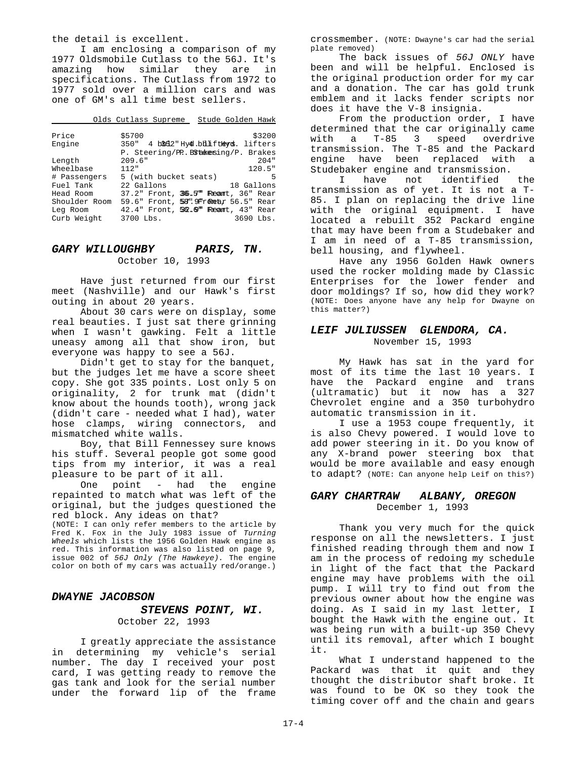the detail is excellent.

I am enclosing a comparison of my 1977 Oldsmobile Cutlass to the 56J. It's amazing how similar they are in specifications. The Cutlass from 1972 to 1977 sold over a million cars and was one of GM's all time best sellers.

Olds Cutlass Supreme Stude Golden Hawk

| Price         | \$5700                                 | \$3200 |
|---------------|----------------------------------------|--------|
| Engine        | 350" 4 bBd2"Hy40.bbliftLexcs. lifters  |        |
|               | P. Steering/PP. BStakesing/P. Brakes   |        |
| Length        | 209.6"                                 | 204"   |
| Wheelbase     | 112"                                   | 120.5" |
| # Passengers  | 5 (with bucket seats)                  | -5     |
| Fuel Tank     | 22 Gallons<br>18 Gallons               |        |
| Head Room     | 37.2" Front, 36.5" Reamt, 36" Rear     |        |
| Shoulder Room | 59.6" Front, 58". 9Frometar 56.5" Rear |        |
| Leg Room      | 42.4" Front, 52.0" Reamt, 43" Rear     |        |
| Curb Weight   | 3690 Lbs.<br>$3700$ Lbs.               |        |

#### *GARY WILLOUGHBY PARIS, TN.* October 10, 1993

Have just returned from our first meet (Nashville) and our Hawk's first outing in about 20 years.

About 30 cars were on display, some real beauties. I just sat there grinning when I wasn't gawking. Felt a little uneasy among all that show iron, but everyone was happy to see a 56J.

Didn't get to stay for the banquet, but the judges let me have a score sheet copy. She got 335 points. Lost only 5 on originality, 2 for trunk mat (didn't know about the hounds tooth), wrong jack (didn't care - needed what I had), water hose clamps, wiring connectors, and mismatched white walls.

Boy, that Bill Fennessey sure knows his stuff. Several people got some good tips from my interior, it was a real pleasure to be part of it all.

One point - had the engine repainted to match what was left of the original, but the judges questioned the red block. Any ideas on that?

(NOTE: I can only refer members to the article by Fred K. Fox in the July 1983 issue of *Turning Wheels* which lists the 1956 Golden Hawk engine as red. This information was also listed on page 9, issue 002 of *56J Only (The Hawkeye).* The engine color on both of my cars was actually red/orange.)

#### *DWAYNE JACOBSON*

#### *STEVENS POINT, WI.* October 22, 1993

I greatly appreciate the assistance in determining my vehicle's serial number. The day I received your post card, I was getting ready to remove the gas tank and look for the serial number under the forward lip of the frame

crossmember. (NOTE: Dwayne's car had the serial plate removed)

The back issues of *56J ONLY* have been and will be helpful. Enclosed is the original production order for my car and a donation. The car has gold trunk emblem and it lacks fender scripts nor does it have the V-8 insignia.

From the production order, I have determined that the car originally came with a T-85 3 speed overdrive transmission. The T-85 and the Packard engine have been replaced with a Studebaker engine and transmission.

I have not identified the transmission as of yet. It is not a T-85. I plan on replacing the drive line with the original equipment. I have located a rebuilt 352 Packard engine that may have been from a Studebaker and I am in need of a T-85 transmission, bell housing, and flywheel.

Have any 1956 Golden Hawk owners used the rocker molding made by Classic Enterprises for the lower fender and door moldings? If so, how did they work? (NOTE: Does anyone have any help for Dwayne on this matter?)

#### *LEIF JULIUSSEN GLENDORA, CA.*

November 15, 1993

My Hawk has sat in the yard for most of its time the last 10 years. I have the Packard engine and trans (ultramatic) but it now has a 327 Chevrolet engine and a 350 turbohydro automatic transmission in it.

I use a 1953 coupe frequently, it is also Chevy powered. I would love to add power steering in it. Do you know of any X-brand power steering box that would be more available and easy enough to adapt? (NOTE: Can anyone help Leif on this?)

#### *GARY CHARTRAW ALBANY, OREGON* December 1, 1993

Thank you very much for the quick response on all the newsletters. I just finished reading through them and now I am in the process of redoing my schedule in light of the fact that the Packard engine may have problems with the oil pump. I will try to find out from the previous owner about how the engine was doing. As I said in my last letter, I bought the Hawk with the engine out. It was being run with a built-up 350 Chevy until its removal, after which I bought it.

What I understand happened to the Packard was that it quit and they thought the distributor shaft broke. It was found to be OK so they took the timing cover off and the chain and gears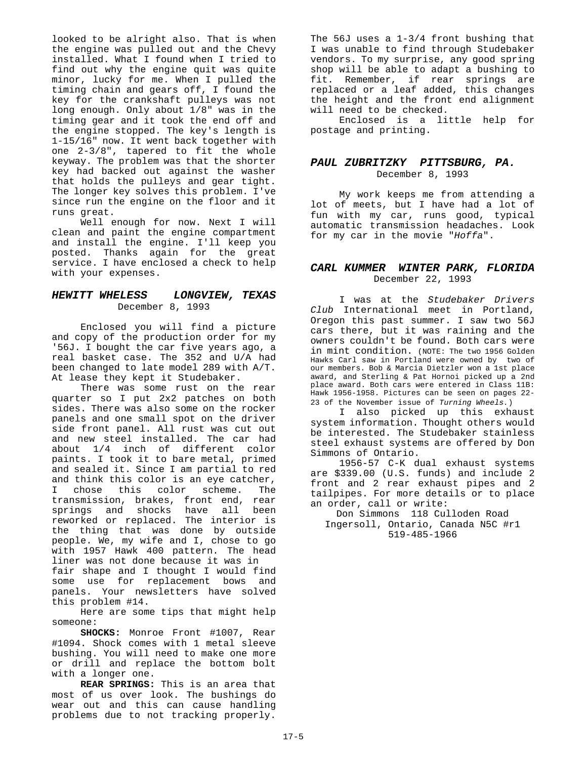looked to be alright also. That is when the engine was pulled out and the Chevy installed. What I found when I tried to find out why the engine quit was quite minor, lucky for me. When I pulled the timing chain and gears off, I found the key for the crankshaft pulleys was not long enough. Only about 1/8" was in the timing gear and it took the end off and the engine stopped. The key's length is 1-15/16" now. It went back together with one 2-3/8", tapered to fit the whole keyway. The problem was that the shorter key had backed out against the washer that holds the pulleys and gear tight. The longer key solves this problem. I've since run the engine on the floor and it runs great.

Well enough for now. Next I will clean and paint the engine compartment and install the engine. I'll keep you posted. Thanks again for the great service. I have enclosed a check to help with your expenses.

#### *HEWITT WHELESS LONGVIEW, TEXAS* December 8, 1993

Enclosed you will find a picture and copy of the production order for my '56J. I bought the car five years ago, a real basket case. The 352 and U/A had been changed to late model 289 with A/T. At lease they kept it Studebaker.

There was some rust on the rear quarter so I put 2x2 patches on both sides. There was also some on the rocker panels and one small spot on the driver side front panel. All rust was cut out and new steel installed. The car had about 1/4 inch of different color paints. I took it to bare metal, primed and sealed it. Since I am partial to red and think this color is an eye catcher, I chose this color scheme. The transmission, brakes, front end, rear springs and shocks have all been reworked or replaced. The interior is the thing that was done by outside people. We, my wife and I, chose to go with 1957 Hawk 400 pattern. The head liner was not done because it was in fair shape and I thought I would find some use for replacement bows and panels. Your newsletters have solved this problem #14.

Here are some tips that might help someone:

**SHOCKS:** Monroe Front #1007, Rear #1094. Shock comes with 1 metal sleeve bushing. You will need to make one more or drill and replace the bottom bolt with a longer one.

**REAR SPRINGS:** This is an area that most of us over look. The bushings do wear out and this can cause handling problems due to not tracking properly.

The 56J uses a 1-3/4 front bushing that I was unable to find through Studebaker vendors. To my surprise, any good spring shop will be able to adapt a bushing to fit. Remember, if rear springs are replaced or a leaf added, this changes the height and the front end alignment will need to be checked.

Enclosed is a little help for postage and printing.

#### *PAUL ZUBRITZKY PITTSBURG, PA.* December 8, 1993

My work keeps me from attending a lot of meets, but I have had a lot of fun with my car, runs good, typical automatic transmission headaches. Look for my car in the movie "*Hoffa*".

#### *CARL KUMMER WINTER PARK, FLORIDA* December 22, 1993

I was at the *Studebaker Drivers Club* International meet in Portland, Oregon this past summer. I saw two 56J cars there, but it was raining and the owners couldn't be found. Both cars were in mint condition. (NOTE: The two 1956 Golden Hawks Carl saw in Portland were owned by two of our members. Bob & Marcia Dietzler won a 1st place award, and Sterling & Pat Hornoi picked up a 2nd place award. Both cars were entered in Class 11B: Hawk 1956-1958. Pictures can be seen on pages 22- 23 of the November issue of *Turning Wheels.*)

I also picked up this exhaust system information. Thought others would be interested. The Studebaker stainless steel exhaust systems are offered by Don Simmons of Ontario.

1956-57 C-K dual exhaust systems are \$339.00 (U.S. funds) and include 2 front and 2 rear exhaust pipes and 2 tailpipes. For more details or to place an order, call or write:

 Don Simmons 118 Culloden Road Ingersoll, Ontario, Canada N5C #r1 519-485-1966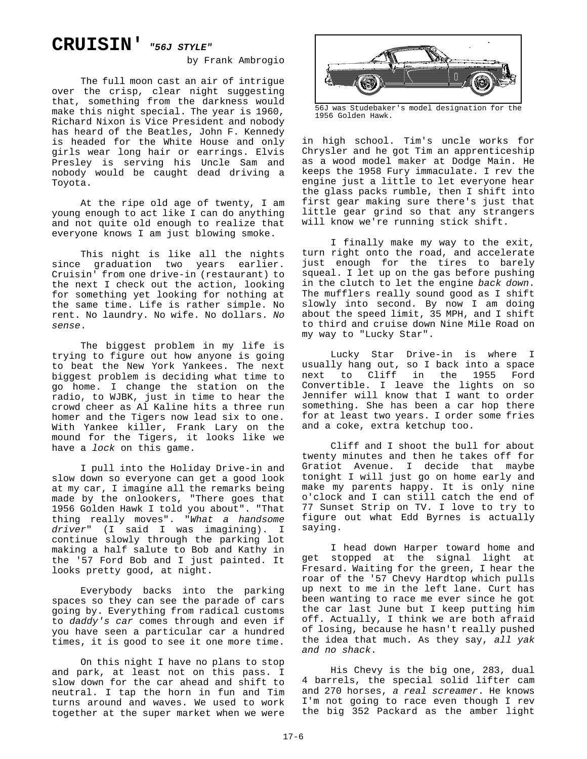## **CRUISIN'** *"56J STYLE"*

by Frank Ambrogio

The full moon cast an air of intrigue over the crisp, clear night suggesting that, something from the darkness would make this night special. The year is 1960, Richard Nixon is Vice President and nobody has heard of the Beatles, John F. Kennedy is headed for the White House and only girls wear long hair or earrings. Elvis Presley is serving his Uncle Sam and nobody would be caught dead driving a Toyota.

At the ripe old age of twenty, I am young enough to act like I can do anything and not quite old enough to realize that everyone knows I am just blowing smoke.

This night is like all the nights since graduation two years earlier. Cruisin' from one drive-in (restaurant) to the next I check out the action, looking for something yet looking for nothing at the same time. Life is rather simple. No rent. No laundry. No wife. No dollars. *No sense*.

The biggest problem in my life is trying to figure out how anyone is going to beat the New York Yankees. The next biggest problem is deciding what time to go home. I change the station on the radio, to WJBK, just in time to hear the crowd cheer as Al Kaline hits a three run homer and the Tigers now lead six to one. With Yankee killer, Frank Lary on the mound for the Tigers, it looks like we have a *lock* on this game.

I pull into the Holiday Drive-in and slow down so everyone can get a good look at my car, I imagine all the remarks being made by the onlookers, "There goes that 1956 Golden Hawk I told you about". "That thing really moves". "*What a handsome driver*" (I said I was imagining). I continue slowly through the parking lot making a half salute to Bob and Kathy in the '57 Ford Bob and I just painted. It looks pretty good, at night.

Everybody backs into the parking spaces so they can see the parade of cars going by. Everything from radical customs to *daddy's car* comes through and even if you have seen a particular car a hundred times, it is good to see it one more time.

On this night I have no plans to stop and park, at least not on this pass. I slow down for the car ahead and shift to neutral. I tap the horn in fun and Tim turns around and waves. We used to work together at the super market when we were



56J was Studebaker's model designation for the 1956 Golden Hawk.

in high school. Tim's uncle works for Chrysler and he got Tim an apprenticeship as a wood model maker at Dodge Main. He keeps the 1958 Fury immaculate. I rev the engine just a little to let everyone hear the glass packs rumble, then I shift into first gear making sure there's just that little gear grind so that any strangers will know we're running stick shift.

I finally make my way to the exit, turn right onto the road, and accelerate just enough for the tires to barely squeal. I let up on the gas before pushing in the clutch to let the engine *back down*. The mufflers really sound good as I shift slowly into second. By now I am doing about the speed limit, 35 MPH, and I shift to third and cruise down Nine Mile Road on my way to "Lucky Star".

Lucky Star Drive-in is where I usually hang out, so I back into a space next to Cliff in the 1955 Ford Convertible. I leave the lights on so Jennifer will know that I want to order something. She has been a car hop there for at least two years. I order some fries and a coke, extra ketchup too.

Cliff and I shoot the bull for about twenty minutes and then he takes off for Gratiot Avenue. I decide that maybe tonight I will just go on home early and make my parents happy. It is only nine o'clock and I can still catch the end of 77 Sunset Strip on TV. I love to try to figure out what Edd Byrnes is actually saying.

I head down Harper toward home and get stopped at the signal light at Fresard. Waiting for the green, I hear the roar of the '57 Chevy Hardtop which pulls up next to me in the left lane. Curt has been wanting to race me ever since he got the car last June but I keep putting him off. Actually, I think we are both afraid of losing, because he hasn't really pushed the idea that much. As they say, *all yak and no shack*.

His Chevy is the big one, 283, dual 4 barrels, the special solid lifter cam and 270 horses, *a real screamer*. He knows I'm not going to race even though I rev the big 352 Packard as the amber light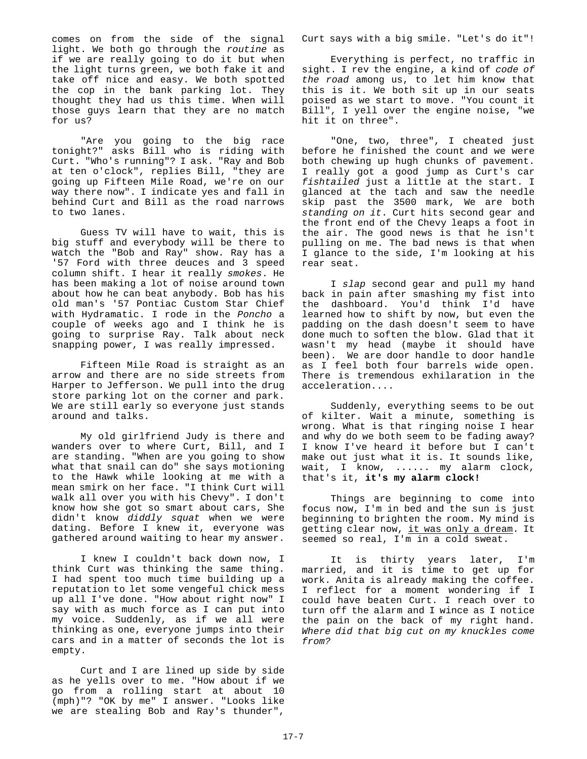comes on from the side of the signal light. We both go through the *routine* as if we are really going to do it but when the light turns green, we both fake it and take off nice and easy. We both spotted the cop in the bank parking lot. They thought they had us this time. When will those guys learn that they are no match for us?

"Are you going to the big race tonight?" asks Bill who is riding with Curt. "Who's running"? I ask. "Ray and Bob at ten o'clock", replies Bill, "they are going up Fifteen Mile Road, we're on our way there now". I indicate yes and fall in behind Curt and Bill as the road narrows to two lanes.

Guess TV will have to wait, this is big stuff and everybody will be there to watch the "Bob and Ray" show. Ray has a '57 Ford with three deuces and 3 speed column shift. I hear it really *smokes*. He has been making a lot of noise around town about how he can beat anybody. Bob has his old man's '57 Pontiac Custom Star Chief with Hydramatic. I rode in the *Poncho* a couple of weeks ago and I think he is going to surprise Ray. Talk about neck snapping power, I was really impressed.

Fifteen Mile Road is straight as an arrow and there are no side streets from Harper to Jefferson. We pull into the drug store parking lot on the corner and park. We are still early so everyone just stands around and talks.

My old girlfriend Judy is there and wanders over to where Curt, Bill, and I are standing. "When are you going to show what that snail can do" she says motioning to the Hawk while looking at me with a mean smirk on her face. "I think Curt will walk all over you with his Chevy". I don't know how she got so smart about cars, She didn't know *diddly squat* when we were dating. Before I knew it, everyone was gathered around waiting to hear my answer.

I knew I couldn't back down now, I think Curt was thinking the same thing. I had spent too much time building up a reputation to let some vengeful chick mess up all I've done. "How about right now" I say with as much force as I can put into my voice. Suddenly, as if we all were thinking as one, everyone jumps into their cars and in a matter of seconds the lot is empty.

Curt and I are lined up side by side as he yells over to me. "How about if we go from a rolling start at about 10 (mph)"? "OK by me" I answer. "Looks like we are stealing Bob and Ray's thunder",

Curt says with a big smile. "Let's do it"!

Everything is perfect, no traffic in sight. I rev the engine, a kind of *code of the road* among us, to let him know that this is it. We both sit up in our seats poised as we start to move. "You count it Bill", I yell over the engine noise, "we hit it on three".

"One, two, three", I cheated just before he finished the count and we were both chewing up hugh chunks of pavement. I really got a good jump as Curt's car *fishtailed* just a little at the start. I glanced at the tach and saw the needle skip past the 3500 mark, We are both *standing on it*. Curt hits second gear and the front end of the Chevy leaps a foot in the air. The good news is that he isn't pulling on me. The bad news is that when I glance to the side, I'm looking at his rear seat.

I *slap* second gear and pull my hand back in pain after smashing my fist into the dashboard. You'd think I'd have learned how to shift by now, but even the padding on the dash doesn't seem to have done much to soften the blow. Glad that it wasn't my head (maybe it should have been). We are door handle to door handle as I feel both four barrels wide open. There is tremendous exhilaration in the acceleration....

Suddenly, everything seems to be out of kilter. Wait a minute, something is wrong. What is that ringing noise I hear and why do we both seem to be fading away? I know I've heard it before but I can't make out just what it is. It sounds like, wait, I know, ...... my alarm clock, that's it, **it's my alarm clock!**

Things are beginning to come into focus now, I'm in bed and the sun is just beginning to brighten the room. My mind is getting clear now, it was only a dream. It seemed so real, I'm in a cold sweat.

It is thirty years later, I'm married, and it is time to get up for work. Anita is already making the coffee. I reflect for a moment wondering if I could have beaten Curt. I reach over to turn off the alarm and I wince as I notice the pain on the back of my right hand. *Where did that big cut on my knuckles come from?*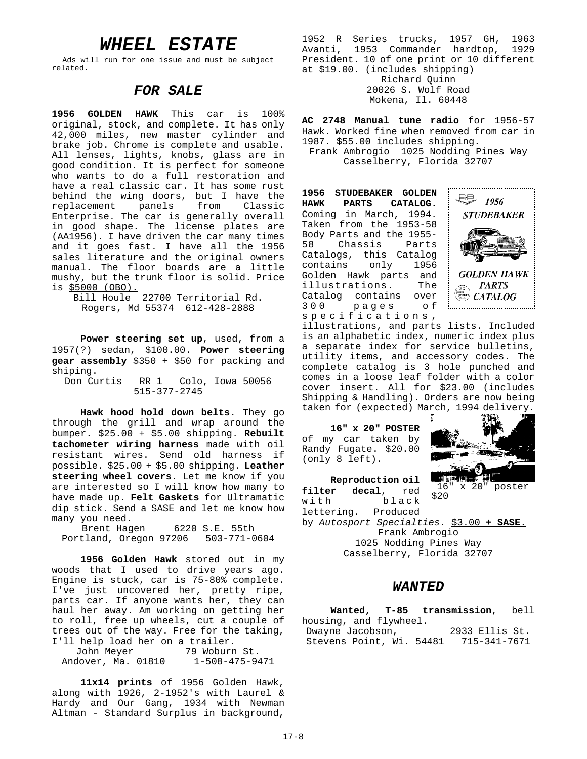## *WHEEL ESTATE*

Ads will run for one issue and must be subject related.

#### *FOR SALE*

**1956 GOLDEN HAWK** This car is 100% original, stock, and complete. It has only 42,000 miles, new master cylinder and brake job. Chrome is complete and usable. All lenses, lights, knobs, glass are in good condition. It is perfect for someone who wants to do a full restoration and have a real classic car. It has some rust behind the wing doors, but I have the replacement panels from Classic Enterprise. The car is generally overall in good shape. The license plates are (AA1956). I have driven the car many times and it goes fast. I have all the 1956 sales literature and the original owners manual. The floor boards are a little mushy, but the trunk floor is solid. Price is \$5000 (OBO).

Bill Houle 22700 Territorial Rd. Rogers, Md 55374 612-428-2888

**Power steering set up**, used, from a 1957(?) sedan, \$100.00. **Power steering gear assembly** \$350 + \$50 for packing and shiping.

Don Curtis RR 1 Colo, Iowa 50056 515-377-2745

**Hawk hood hold down belts**. They go through the grill and wrap around the bumper. \$25.00 + \$5.00 shipping. **Rebuilt tachometer wiring harness** made with oil resistant wires. Send old harness if possible. \$25.00 + \$5.00 shipping. **Leather steering wheel covers**. Let me know if you are interested so I will know how many to have made up. **Felt Gaskets** for Ultramatic dip stick. Send a SASE and let me know how many you need.

Brent Hagen 6220 S.E. 55th Portland, Oregon 97206 503-771-0604

**1956 Golden Hawk** stored out in my woods that I used to drive years ago. Engine is stuck, car is 75-80% complete. I've just uncovered her, pretty ripe, parts car. If anyone wants her, they can haul her away. Am working on getting her to roll, free up wheels, cut a couple of trees out of the way. Free for the taking, I'll help load her on a trailer.

John Meyer 79 Woburn St. Andover, Ma. 01810 1-508-475-9471

**11x14 prints** of 1956 Golden Hawk, along with 1926, 2-1952's with Laurel & Hardy and Our Gang, 1934 with Newman Altman - Standard Surplus in background,

1952 R Series trucks, 1957 GH, 1963 Avanti, 1953 Commander hardtop, 1929 President. 10 of one print or 10 different at \$19.00. (includes shipping) Richard Quinn 20026 S. Wolf Road

Mokena, Il. 60448

**AC 2748 Manual tune radio** for 1956-57 Hawk. Worked fine when removed from car in 1987. \$55.00 includes shipping. Frank Ambrogio 1025 Nodding Pines Way

Casselberry, Florida 32707

**1956 STUDEBAKER GOLDEN HAWK PARTS CATALOG.** Coming in March, 1994. Taken from the 1953-58 Body Parts and the 1955- 58 Chassis Parts Catalogs, this Catalog contains only 1956 Golden Hawk parts and illustrations. The Catalog contains over<br>300 pages of 300 pages of specifications,



illustrations, and parts lists. Included is an alphabetic index, numeric index plus a separate index for service bulletins, utility items, and accessory codes. The complete catalog is 3 hole punched and comes in a loose leaf folder with a color cover insert. All for \$23.00 (includes Shipping & Handling). Orders are now being taken for (expected) March, 1994 delivery.

**16" x 20" POSTER** of my car taken by Randy Fugate. \$20.00 (only 8 left).

**Reproduction oil**



16" x 20" poster

\$20 **filter decal**, red with black lettering. Produced by *Autosport Specialties.* \$3.00 **+ SASE**. Frank Ambrogio 1025 Nodding Pines Way Casselberry, Florida 32707

#### *WANTED*

|                                       |  |  | Wanted, T-85 transmission, bell |  |
|---------------------------------------|--|--|---------------------------------|--|
| housing, and flywheel.                |  |  |                                 |  |
| Dwayne Jacobson,                      |  |  | 2933 Ellis St.                  |  |
| Stevens Point, Wi. 54481 715-341-7671 |  |  |                                 |  |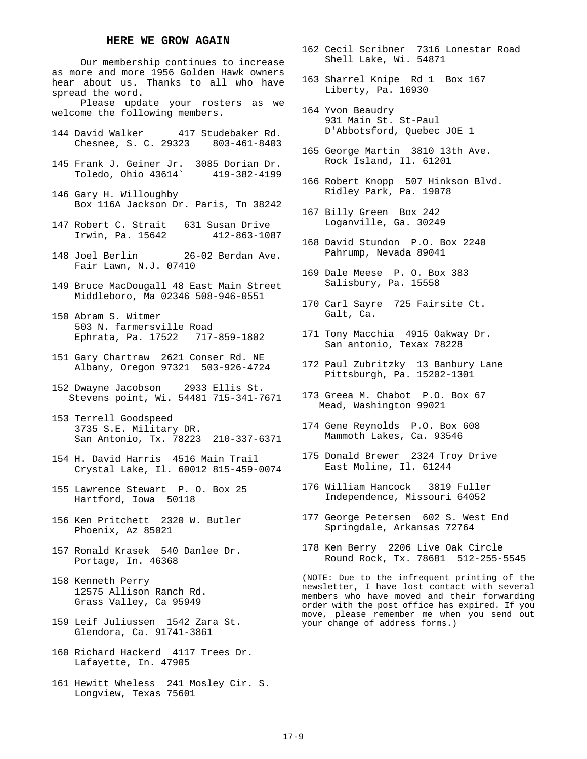#### **HERE WE GROW AGAIN**

Our membership continues to increase as more and more 1956 Golden Hawk owners hear about us. Thanks to all who have spread the word.

Please update your rosters as we welcome the following members.

- 144 David Walker 417 Studebaker Rd. Chesnee, S. C. 29323 803-461-8403
- 145 Frank J. Geiner Jr. 3085 Dorian Dr. Toledo, Ohio 43614` 419-382-4199
- 146 Gary H. Willoughby Box 116A Jackson Dr. Paris, Tn 38242
- 147 Robert C. Strait 631 Susan Drive Irwin, Pa. 15642 412-863-1087
- 148 Joel Berlin 26-02 Berdan Ave. Fair Lawn, N.J. 07410
- 149 Bruce MacDougall 48 East Main Street Middleboro, Ma 02346 508-946-0551
- 150 Abram S. Witmer 503 N. farmersville Road Ephrata, Pa. 17522 717-859-1802
- 151 Gary Chartraw 2621 Conser Rd. NE Albany, Oregon 97321 503-926-4724
- 152 Dwayne Jacobson 2933 Ellis St. Stevens point, Wi. 54481 715-341-7671
- 153 Terrell Goodspeed 3735 S.E. Military DR. San Antonio, Tx. 78223 210-337-6371
- 154 H. David Harris 4516 Main Trail Crystal Lake, Il. 60012 815-459-0074
- 155 Lawrence Stewart P. O. Box 25 Hartford, Iowa 50118
- 156 Ken Pritchett 2320 W. Butler Phoenix, Az 85021
- 157 Ronald Krasek 540 Danlee Dr. Portage, In. 46368
- 158 Kenneth Perry 12575 Allison Ranch Rd. Grass Valley, Ca 95949
- 159 Leif Juliussen 1542 Zara St. Glendora, Ca. 91741-3861
- 160 Richard Hackerd 4117 Trees Dr. Lafayette, In. 47905
- 161 Hewitt Wheless 241 Mosley Cir. S. Longview, Texas 75601
- 162 Cecil Scribner 7316 Lonestar Road Shell Lake, Wi. 54871
- 163 Sharrel Knipe Rd 1 Box 167 Liberty, Pa. 16930
- 164 Yvon Beaudry 931 Main St. St-Paul D'Abbotsford, Quebec JOE 1
- 165 George Martin 3810 13th Ave. Rock Island, Il. 61201
- 166 Robert Knopp 507 Hinkson Blvd. Ridley Park, Pa. 19078
- 167 Billy Green Box 242 Loganville, Ga. 30249
- 168 David Stundon P.O. Box 2240 Pahrump, Nevada 89041
- 169 Dale Meese P. O. Box 383 Salisbury, Pa. 15558
- 170 Carl Sayre 725 Fairsite Ct. Galt, Ca.
- 171 Tony Macchia 4915 Oakway Dr. San antonio, Texax 78228
- 172 Paul Zubritzky 13 Banbury Lane Pittsburgh, Pa. 15202-1301
- 173 Greea M. Chabot P.O. Box 67 Mead, Washington 99021
- 174 Gene Reynolds P.O. Box 608 Mammoth Lakes, Ca. 93546
- 175 Donald Brewer 2324 Troy Drive East Moline, Il. 61244
- 176 William Hancock 3819 Fuller Independence, Missouri 64052
- 177 George Petersen 602 S. West End Springdale, Arkansas 72764
- 178 Ken Berry 2206 Live Oak Circle Round Rock, Tx. 78681 512-255-5545

(NOTE: Due to the infrequent printing of the newsletter, I have lost contact with several members who have moved and their forwarding order with the post office has expired. If you move, please remember me when you send out your change of address forms.)